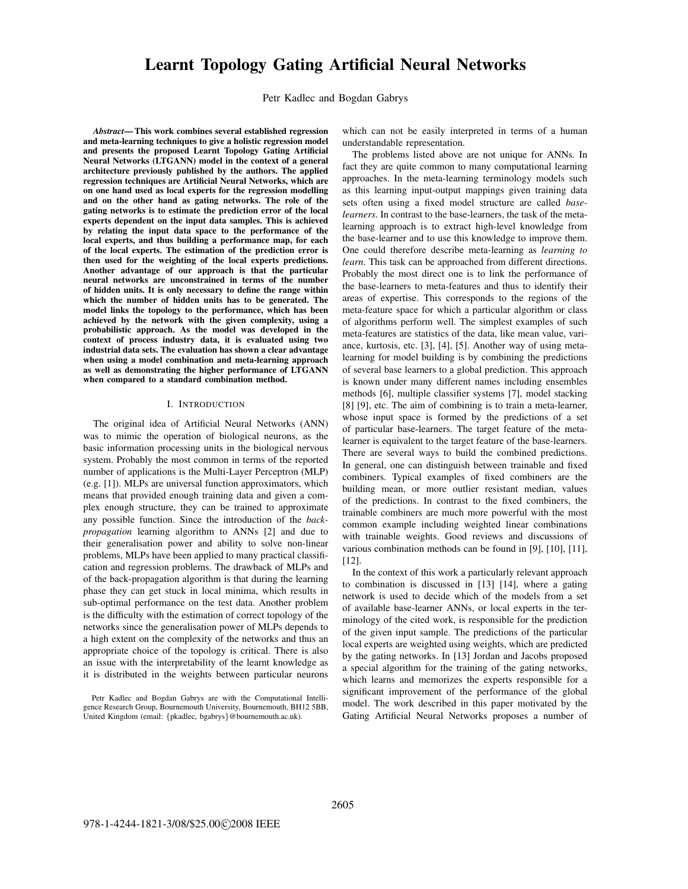# Learnt Topology Gating Artificial Neural Networks

Petr Kadlec and Bogdan Gabrys

*Abstract*— This work combines several established regression and meta-learning techniques to give a holistic regression model and presents the proposed Learnt Topology Gating Artificial Neural Networks (LTGANN) model in the context of a general architecture previously published by the authors. The applied regression techniques are Artificial Neural Networks, which are on one hand used as local experts for the regression modelling and on the other hand as gating networks. The role of the gating networks is to estimate the prediction error of the local experts dependent on the input data samples. This is achieved by relating the input data space to the performance of the local experts, and thus building a performance map, for each of the local experts. The estimation of the prediction error is then used for the weighting of the local experts predictions. Another advantage of our approach is that the particular neural networks are unconstrained in terms of the number of hidden units. It is only necessary to define the range within which the number of hidden units has to be generated. The model links the topology to the performance, which has been achieved by the network with the given complexity, using a probabilistic approach. As the model was developed in the context of process industry data, it is evaluated using two industrial data sets. The evaluation has shown a clear advantage when using a model combination and meta-learning approach as well as demonstrating the higher performance of LTGANN when compared to a standard combination method.

#### I. INTRODUCTION

The original idea of Artificial Neural Networks (ANN) was to mimic the operation of biological neurons, as the basic information processing units in the biological nervous system. Probably the most common in terms of the reported number of applications is the Multi-Layer Perceptron (MLP) (e.g. [1]). MLPs are universal function approximators, which means that provided enough training data and given a complex enough structure, they can be trained to approximate any possible function. Since the introduction of the *backpropagation* learning algorithm to ANNs [2] and due to their generalisation power and ability to solve non-linear problems, MLPs have been applied to many practical classification and regression problems. The drawback of MLPs and of the back-propagation algorithm is that during the learning phase they can get stuck in local minima, which results in sub-optimal performance on the test data. Another problem is the difficulty with the estimation of correct topology of the networks since the generalisation power of MLPs depends to a high extent on the complexity of the networks and thus an appropriate choice of the topology is critical. There is also an issue with the interpretability of the learnt knowledge as it is distributed in the weights between particular neurons which can not be easily interpreted in terms of a human understandable representation.

The problems listed above are not unique for ANNs. In fact they are quite common to many computational learning approaches. In the meta-learning terminology models such as this learning input-output mappings given training data sets often using a fixed model structure are called *baselearners*. In contrast to the base-learners, the task of the metalearning approach is to extract high-level knowledge from the base-learner and to use this knowledge to improve them. One could therefore describe meta-learning as *learning to learn*. This task can be approached from different directions. Probably the most direct one is to link the performance of the base-learners to meta-features and thus to identify their areas of expertise. This corresponds to the regions of the meta-feature space for which a particular algorithm or class of algorithms perform well. The simplest examples of such meta-features are statistics of the data, like mean value, variance, kurtosis, etc. [3], [4], [5]. Another way of using metalearning for model building is by combining the predictions of several base learners to a global prediction. This approach is known under many different names including ensembles methods [6], multiple classifier systems [7], model stacking [8] [9], etc. The aim of combining is to train a meta-learner, whose input space is formed by the predictions of a set of particular base-learners. The target feature of the metalearner is equivalent to the target feature of the base-learners. There are several ways to build the combined predictions. In general, one can distinguish between trainable and fixed combiners. Typical examples of fixed combiners are the building mean, or more outlier resistant median, values of the predictions. In contrast to the fixed combiners, the trainable combiners are much more powerful with the most common example including weighted linear combinations with trainable weights. Good reviews and discussions of various combination methods can be found in [9], [10], [11], [12].

In the context of this work a particularly relevant approach to combination is discussed in [13] [14], where a gating network is used to decide which of the models from a set of available base-learner ANNs, or local experts in the terminology of the cited work, is responsible for the prediction of the given input sample. The predictions of the particular local experts are weighted using weights, which are predicted by the gating networks. In [13] Jordan and Jacobs proposed a special algorithm for the training of the gating networks, which learns and memorizes the experts responsible for a significant improvement of the performance of the global model. The work described in this paper motivated by the Gating Artificial Neural Networks proposes a number of

Petr Kadlec and Bogdan Gabrys are with the Computational Intelligence Research Group, Bournemouth University, Bournemouth, BH12 5BB, United Kingdom (email: {pkadlec, bgabrys}@bournemouth.ac.uk).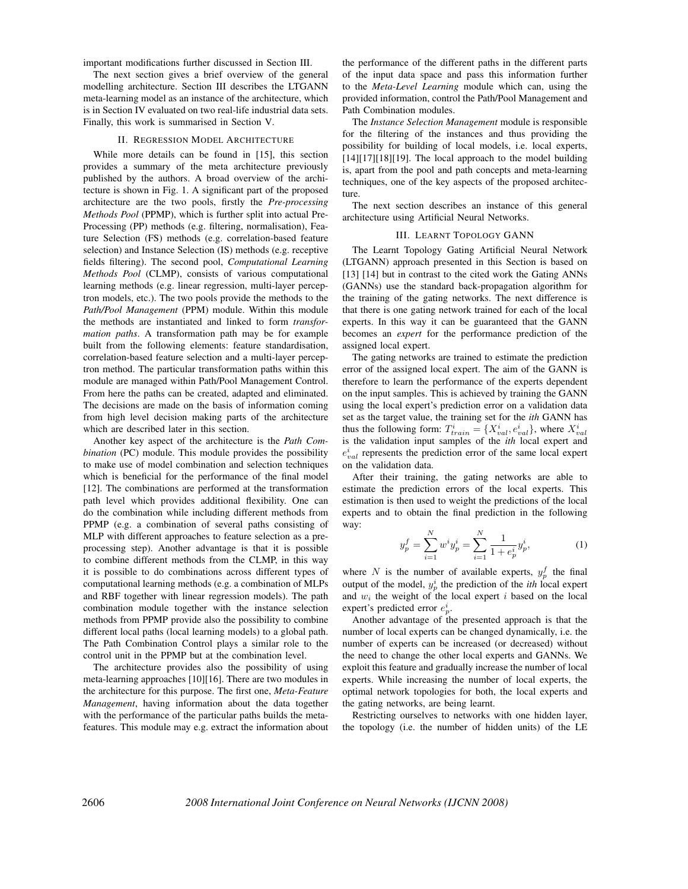important modifications further discussed in Section III.

The next section gives a brief overview of the general modelling architecture. Section III describes the LTGANN meta-learning model as an instance of the architecture, which is in Section IV evaluated on two real-life industrial data sets. Finally, this work is summarised in Section V.

## II. REGRESSION MODEL ARCHITECTURE

While more details can be found in [15], this section provides a summary of the meta architecture previously published by the authors. A broad overview of the architecture is shown in Fig. 1. A significant part of the proposed architecture are the two pools, firstly the *Pre-processing Methods Pool* (PPMP), which is further split into actual Pre-Processing (PP) methods (e.g. filtering, normalisation), Feature Selection (FS) methods (e.g. correlation-based feature selection) and Instance Selection (IS) methods (e.g. receptive fields filtering). The second pool, *Computational Learning Methods Pool* (CLMP), consists of various computational learning methods (e.g. linear regression, multi-layer perceptron models, etc.). The two pools provide the methods to the *Path/Pool Management* (PPM) module. Within this module the methods are instantiated and linked to form *transformation paths*. A transformation path may be for example built from the following elements: feature standardisation, correlation-based feature selection and a multi-layer perceptron method. The particular transformation paths within this module are managed within Path/Pool Management Control. From here the paths can be created, adapted and eliminated. The decisions are made on the basis of information coming from high level decision making parts of the architecture which are described later in this section.

Another key aspect of the architecture is the *Path Combination* (PC) module. This module provides the possibility to make use of model combination and selection techniques which is beneficial for the performance of the final model [12]. The combinations are performed at the transformation path level which provides additional flexibility. One can do the combination while including different methods from PPMP (e.g. a combination of several paths consisting of MLP with different approaches to feature selection as a preprocessing step). Another advantage is that it is possible to combine different methods from the CLMP, in this way it is possible to do combinations across different types of computational learning methods (e.g. a combination of MLPs and RBF together with linear regression models). The path combination module together with the instance selection methods from PPMP provide also the possibility to combine different local paths (local learning models) to a global path. The Path Combination Control plays a similar role to the control unit in the PPMP but at the combination level.

The architecture provides also the possibility of using meta-learning approaches [10][16]. There are two modules in the architecture for this purpose. The first one, *Meta-Feature Management*, having information about the data together with the performance of the particular paths builds the metafeatures. This module may e.g. extract the information about

the performance of the different paths in the different parts of the input data space and pass this information further to the *Meta-Level Learning* module which can, using the provided information, control the Path/Pool Management and Path Combination modules.

The *Instance Selection Management* module is responsible for the filtering of the instances and thus providing the possibility for building of local models, i.e. local experts, [14][17][18][19]. The local approach to the model building is, apart from the pool and path concepts and meta-learning techniques, one of the key aspects of the proposed architecture.

The next section describes an instance of this general architecture using Artificial Neural Networks.

## III. LEARNT TOPOLOGY GANN

The Learnt Topology Gating Artificial Neural Network (LTGANN) approach presented in this Section is based on [13] [14] but in contrast to the cited work the Gating ANNs (GANNs) use the standard back-propagation algorithm for the training of the gating networks. The next difference is that there is one gating network trained for each of the local experts. In this way it can be guaranteed that the GANN becomes an *expert* for the performance prediction of the assigned local expert.

The gating networks are trained to estimate the prediction error of the assigned local expert. The aim of the GANN is therefore to learn the performance of the experts dependent on the input samples. This is achieved by training the GANN using the local expert's prediction error on a validation data set as the target value, the training set for the *ith* GANN has thus the following form:  $T_{train}^i = \{X_{val}^i, e_{val}^i\}$ , where  $X_{val}^i$  is the validation input samples of the *ith* local expert at is the validation input samples of the *ith* local expert and  $e_{val}^i$  represents the prediction error of the same local expert on the validation data on the validation data.

After their training, the gating networks are able to estimate the prediction errors of the local experts. This estimation is then used to weight the predictions of the local experts and to obtain the final prediction in the following way:

$$
y_p^f = \sum_{i=1}^N w^i y_p^i = \sum_{i=1}^N \frac{1}{1 + e_p^i} y_p^i,
$$
 (1)

where N is the number of available experts,  $y_p^f$  the final<br>output of the model  $y_i^i$  the prediction of the *i*th local expert output of the model,  $y_p^i$  the prediction of the *ith* local expert and any the weight of the local expert a based on the local and  $w_i$  the weight of the local expert i based on the local expert's predicted error  $e_p^i$ .<br>Another advantage of the

Another advantage of the presented approach is that the number of local experts can be changed dynamically, i.e. the number of experts can be increased (or decreased) without the need to change the other local experts and GANNs. We exploit this feature and gradually increase the number of local experts. While increasing the number of local experts, the optimal network topologies for both, the local experts and the gating networks, are being learnt.

Restricting ourselves to networks with one hidden layer, the topology (i.e. the number of hidden units) of the LE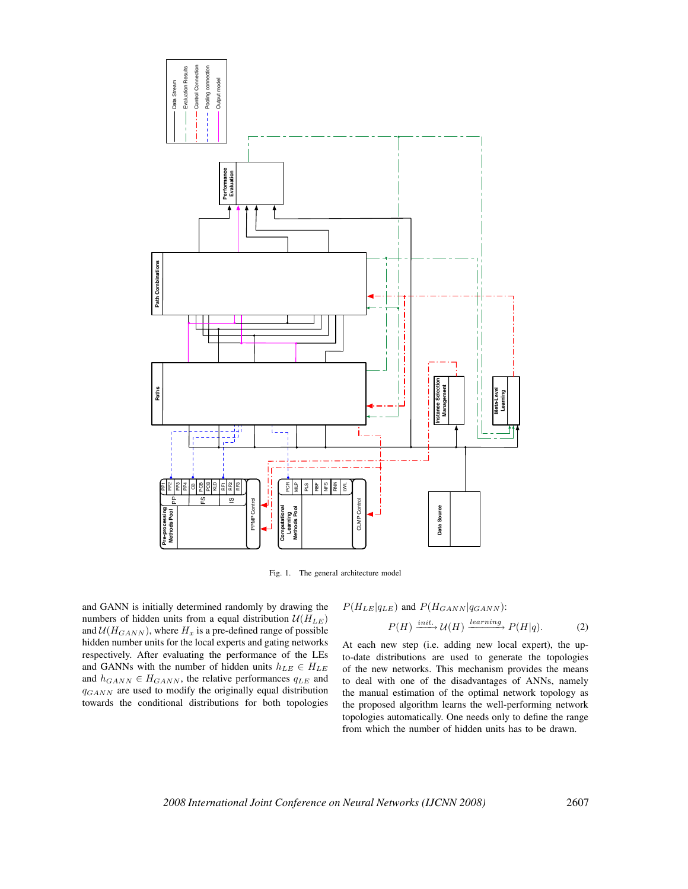

Fig. 1. The general architecture model

and GANN is initially determined randomly by drawing the numbers of hidden units from a equal distribution  $U(H_{LE})$ and  $U(H_{GANN})$ , where  $H_x$  is a pre-defined range of possible hidden number units for the local experts and gating networks respectively. After evaluating the performance of the LEs and GANNs with the number of hidden units  $h_{LE} \in H_{LE}$ and  $h_{GANN} \in H_{GANN}$ , the relative performances  $q_{LE}$  and <sup>q</sup>GANN are used to modify the originally equal distribution towards the conditional distributions for both topologies

$$
P(H_{LE}|q_{LE}) \text{ and } P(H_{GANN}|q_{GANN})\colon
$$

$$
P(H) \xrightarrow{init.} \mathcal{U}(H) \xrightarrow{learning} P(H|q).
$$
 (2)

At each new step (i.e. adding new local expert), the upto-date distributions are used to generate the topologies of the new networks. This mechanism provides the means to deal with one of the disadvantages of ANNs, namely the manual estimation of the optimal network topology as the proposed algorithm learns the well-performing network topologies automatically. One needs only to define the range from which the number of hidden units has to be drawn.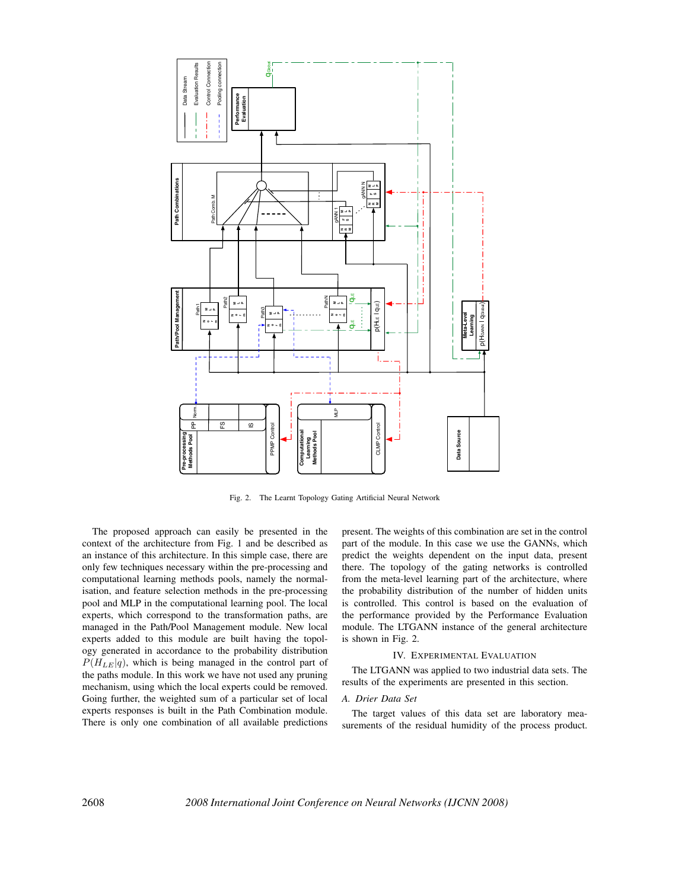

Fig. 2. The Learnt Topology Gating Artificial Neural Network

The proposed approach can easily be presented in the context of the architecture from Fig. 1 and be described as an instance of this architecture. In this simple case, there are only few techniques necessary within the pre-processing and computational learning methods pools, namely the normalisation, and feature selection methods in the pre-processing pool and MLP in the computational learning pool. The local experts, which correspond to the transformation paths, are managed in the Path/Pool Management module. New local experts added to this module are built having the topology generated in accordance to the probability distribution  $P(H_{LE}|q)$ , which is being managed in the control part of the paths module. In this work we have not used any pruning mechanism, using which the local experts could be removed. Going further, the weighted sum of a particular set of local experts responses is built in the Path Combination module. There is only one combination of all available predictions

present. The weights of this combination are set in the control part of the module. In this case we use the GANNs, which predict the weights dependent on the input data, present there. The topology of the gating networks is controlled from the meta-level learning part of the architecture, where the probability distribution of the number of hidden units is controlled. This control is based on the evaluation of the performance provided by the Performance Evaluation module. The LTGANN instance of the general architecture is shown in Fig. 2.

## IV. EXPERIMENTAL EVALUATION

The LTGANN was applied to two industrial data sets. The results of the experiments are presented in this section.

## *A. Drier Data Set*

The target values of this data set are laboratory measurements of the residual humidity of the process product.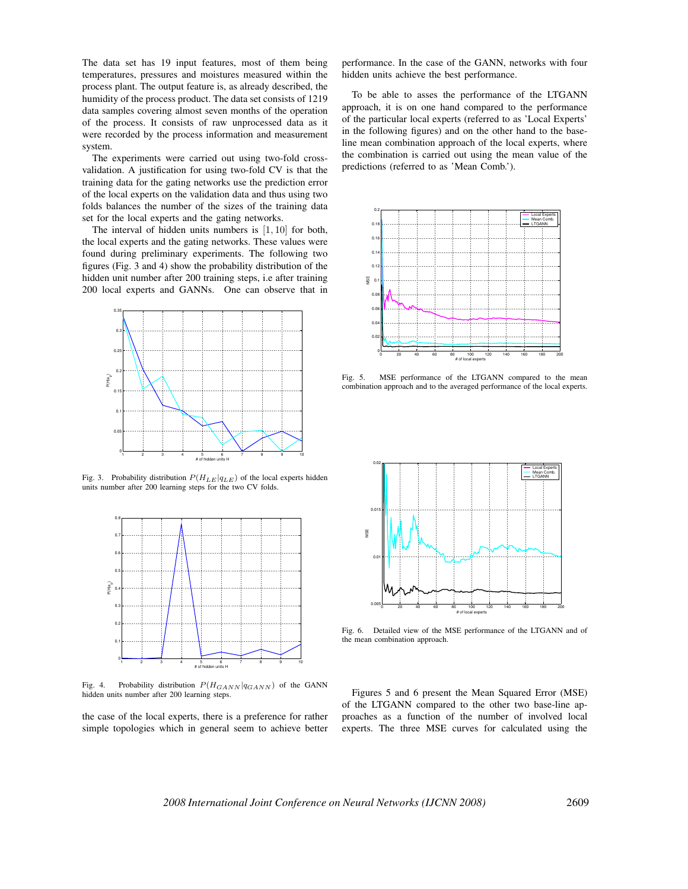The data set has 19 input features, most of them being temperatures, pressures and moistures measured within the process plant. The output feature is, as already described, the humidity of the process product. The data set consists of 1219 data samples covering almost seven months of the operation of the process. It consists of raw unprocessed data as it were recorded by the process information and measurement system.

The experiments were carried out using two-fold crossvalidation. A justification for using two-fold CV is that the training data for the gating networks use the prediction error of the local experts on the validation data and thus using two folds balances the number of the sizes of the training data set for the local experts and the gating networks.

The interval of hidden units numbers is [1, 10] for both, the local experts and the gating networks. These values were found during preliminary experiments. The following two figures (Fig. 3 and 4) show the probability distribution of the hidden unit number after 200 training steps, i.e after training 200 local experts and GANNs. One can observe that in



Fig. 3. Probability distribution  $P(H_{LE}|q_{LE})$  of the local experts hidden units number after 200 learning steps for the two CV folds.



Fig. 4. Probability distribution  $P(H_{GANN} | q_{GANN})$  of the GANN hidden units number after 200 learning steps.

the case of the local experts, there is a preference for rather simple topologies which in general seem to achieve better

performance. In the case of the GANN, networks with four hidden units achieve the best performance.

To be able to asses the performance of the LTGANN approach, it is on one hand compared to the performance of the particular local experts (referred to as 'Local Experts' in the following figures) and on the other hand to the baseline mean combination approach of the local experts, where the combination is carried out using the mean value of the predictions (referred to as 'Mean Comb.').



Fig. 5. MSE performance of the LTGANN compared to the mean combination approach and to the averaged performance of the local experts.



Fig. 6. Detailed view of the MSE performance of the LTGANN and of the mean combination approach.

Figures 5 and 6 present the Mean Squared Error (MSE) of the LTGANN compared to the other two base-line approaches as a function of the number of involved local experts. The three MSE curves for calculated using the

*2008 International Joint Conference on Neural Networks (IJCNN 2008)* 2609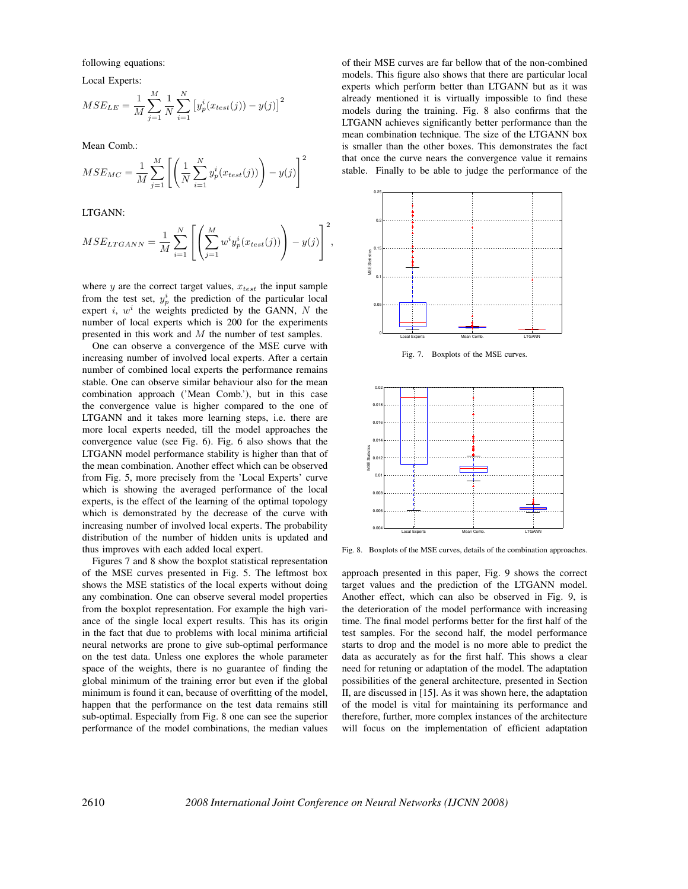following equations:

Local Experts:

$$
MSE_{LE} = \frac{1}{M} \sum_{j=1}^{M} \frac{1}{N} \sum_{i=1}^{N} \left[ y_p^i(x_{test}(j)) - y(j) \right]^2
$$

Mean Comb.:

$$
MSE_{MC} = \frac{1}{M} \sum_{j=1}^{M} \left[ \left( \frac{1}{N} \sum_{i=1}^{N} y_p^i(x_{test}(j)) \right) - y(j) \right]^2
$$

LTGANN:

$$
MSE_{LTGANN} = \frac{1}{M} \sum_{i=1}^{N} \left[ \left( \sum_{j=1}^{M} w^i y_p^i(x_{test}(j)) \right) - y(j) \right]^2,
$$

where  $y$  are the correct target values,  $x_{test}$  the input sample from the test set,  $y_p^i$  the prediction of the particular local<br>expert i.  $w^i$  the weights predicted by the GANN N the expert i,  $w<sup>i</sup>$  the weights predicted by the GANN, N the number of local experts which is 200 for the experiments presented in this work and M the number of test samples.

One can observe a convergence of the MSE curve with increasing number of involved local experts. After a certain number of combined local experts the performance remains stable. One can observe similar behaviour also for the mean combination approach ('Mean Comb.'), but in this case the convergence value is higher compared to the one of LTGANN and it takes more learning steps, i.e. there are more local experts needed, till the model approaches the convergence value (see Fig. 6). Fig. 6 also shows that the LTGANN model performance stability is higher than that of the mean combination. Another effect which can be observed from Fig. 5, more precisely from the 'Local Experts' curve which is showing the averaged performance of the local experts, is the effect of the learning of the optimal topology which is demonstrated by the decrease of the curve with increasing number of involved local experts. The probability distribution of the number of hidden units is updated and thus improves with each added local expert.

Figures 7 and 8 show the boxplot statistical representation of the MSE curves presented in Fig. 5. The leftmost box shows the MSE statistics of the local experts without doing any combination. One can observe several model properties from the boxplot representation. For example the high variance of the single local expert results. This has its origin in the fact that due to problems with local minima artificial neural networks are prone to give sub-optimal performance on the test data. Unless one explores the whole parameter space of the weights, there is no guarantee of finding the global minimum of the training error but even if the global minimum is found it can, because of overfitting of the model, happen that the performance on the test data remains still sub-optimal. Especially from Fig. 8 one can see the superior performance of the model combinations, the median values

of their MSE curves are far bellow that of the non-combined models. This figure also shows that there are particular local experts which perform better than LTGANN but as it was already mentioned it is virtually impossible to find these models during the training. Fig. 8 also confirms that the LTGANN achieves significantly better performance than the mean combination technique. The size of the LTGANN box is smaller than the other boxes. This demonstrates the fact that once the curve nears the convergence value it remains stable. Finally to be able to judge the performance of the



Fig. 7. Boxplots of the MSE curves.



Fig. 8. Boxplots of the MSE curves, details of the combination approaches.

approach presented in this paper, Fig. 9 shows the correct target values and the prediction of the LTGANN model. Another effect, which can also be observed in Fig. 9, is the deterioration of the model performance with increasing time. The final model performs better for the first half of the test samples. For the second half, the model performance starts to drop and the model is no more able to predict the data as accurately as for the first half. This shows a clear need for retuning or adaptation of the model. The adaptation possibilities of the general architecture, presented in Section II, are discussed in [15]. As it was shown here, the adaptation of the model is vital for maintaining its performance and therefore, further, more complex instances of the architecture will focus on the implementation of efficient adaptation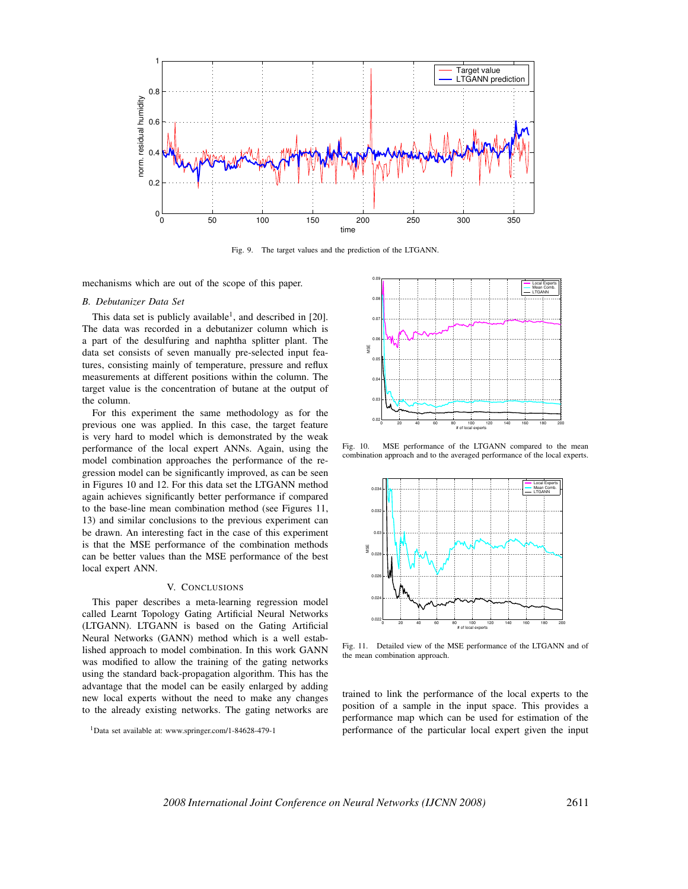

Fig. 9. The target values and the prediction of the LTGANN.

mechanisms which are out of the scope of this paper.

## *B. Debutanizer Data Set*

This data set is publicly available<sup>1</sup>, and described in [20]. The data was recorded in a debutanizer column which is a part of the desulfuring and naphtha splitter plant. The data set consists of seven manually pre-selected input features, consisting mainly of temperature, pressure and reflux measurements at different positions within the column. The target value is the concentration of butane at the output of the column.

For this experiment the same methodology as for the previous one was applied. In this case, the target feature is very hard to model which is demonstrated by the weak performance of the local expert ANNs. Again, using the model combination approaches the performance of the regression model can be significantly improved, as can be seen in Figures 10 and 12. For this data set the LTGANN method again achieves significantly better performance if compared to the base-line mean combination method (see Figures 11, 13) and similar conclusions to the previous experiment can be drawn. An interesting fact in the case of this experiment is that the MSE performance of the combination methods can be better values than the MSE performance of the best local expert ANN.

## V. CONCLUSIONS

This paper describes a meta-learning regression model called Learnt Topology Gating Artificial Neural Networks (LTGANN). LTGANN is based on the Gating Artificial Neural Networks (GANN) method which is a well established approach to model combination. In this work GANN was modified to allow the training of the gating networks using the standard back-propagation algorithm. This has the advantage that the model can be easily enlarged by adding new local experts without the need to make any changes to the already existing networks. The gating networks are

1Data set available at: www.springer.com/1-84628-479-1



Fig. 10. MSE performance of the LTGANN compared to the mean combination approach and to the averaged performance of the local experts.



Fig. 11. Detailed view of the MSE performance of the LTGANN and of the mean combination approach.

trained to link the performance of the local experts to the position of a sample in the input space. This provides a performance map which can be used for estimation of the performance of the particular local expert given the input